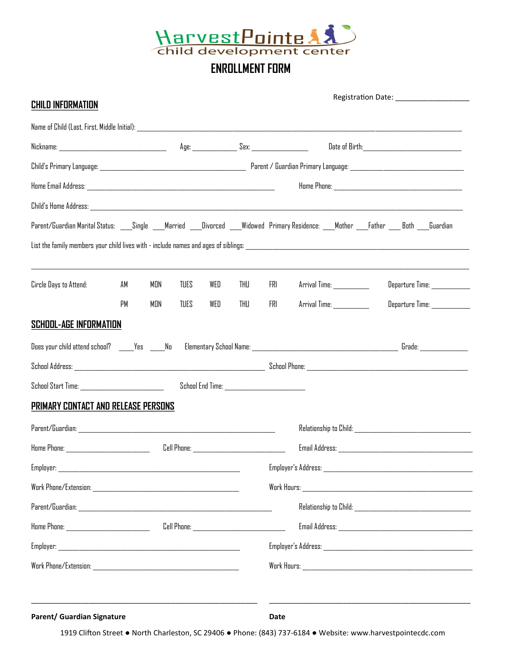

# **ENROLLMENT FORM**

| Parent/Guardian Marital Status: ___Single ___Married ___Divorced ___Widowed Primary Residence: ___Mother ___Father ___Both ___Guardian<br>Circle Days to Attend:<br>AM<br>MDN<br><b>TUES</b><br>WED<br>THU<br>PM<br><b>TUES</b><br>WED<br>THU<br>MON<br><b>School-Age Information</b> | Departure Time: ___________<br>FRI<br>Arrival Time: __________<br>FRI<br>Arrival Time: ____________<br>Departure Time: ____________ |  |  |  |
|---------------------------------------------------------------------------------------------------------------------------------------------------------------------------------------------------------------------------------------------------------------------------------------|-------------------------------------------------------------------------------------------------------------------------------------|--|--|--|
|                                                                                                                                                                                                                                                                                       |                                                                                                                                     |  |  |  |
|                                                                                                                                                                                                                                                                                       |                                                                                                                                     |  |  |  |
|                                                                                                                                                                                                                                                                                       |                                                                                                                                     |  |  |  |
|                                                                                                                                                                                                                                                                                       |                                                                                                                                     |  |  |  |
|                                                                                                                                                                                                                                                                                       |                                                                                                                                     |  |  |  |
|                                                                                                                                                                                                                                                                                       |                                                                                                                                     |  |  |  |
|                                                                                                                                                                                                                                                                                       |                                                                                                                                     |  |  |  |
|                                                                                                                                                                                                                                                                                       |                                                                                                                                     |  |  |  |
|                                                                                                                                                                                                                                                                                       |                                                                                                                                     |  |  |  |
|                                                                                                                                                                                                                                                                                       |                                                                                                                                     |  |  |  |
|                                                                                                                                                                                                                                                                                       |                                                                                                                                     |  |  |  |
|                                                                                                                                                                                                                                                                                       |                                                                                                                                     |  |  |  |
| School Start Time: New York School Start Time:                                                                                                                                                                                                                                        |                                                                                                                                     |  |  |  |
| PRIMARY CONTACT AND RELEASE PERSONS                                                                                                                                                                                                                                                   |                                                                                                                                     |  |  |  |
|                                                                                                                                                                                                                                                                                       |                                                                                                                                     |  |  |  |
| Cell Phone: _________________________________                                                                                                                                                                                                                                         |                                                                                                                                     |  |  |  |
| Employer:<br><u> 1989 - Johann John Harry Harry Harry Harry Harry Harry Harry Harry Harry Harry Harry Harry Harry Harry Harry H</u>                                                                                                                                                   |                                                                                                                                     |  |  |  |
|                                                                                                                                                                                                                                                                                       |                                                                                                                                     |  |  |  |
|                                                                                                                                                                                                                                                                                       |                                                                                                                                     |  |  |  |
|                                                                                                                                                                                                                                                                                       |                                                                                                                                     |  |  |  |
|                                                                                                                                                                                                                                                                                       |                                                                                                                                     |  |  |  |
|                                                                                                                                                                                                                                                                                       |                                                                                                                                     |  |  |  |

1919 Clifton Street ● North Charleston, SC 29406 ● Phone: (843) 737-6184 ● Website: www.harvestpointecdc.com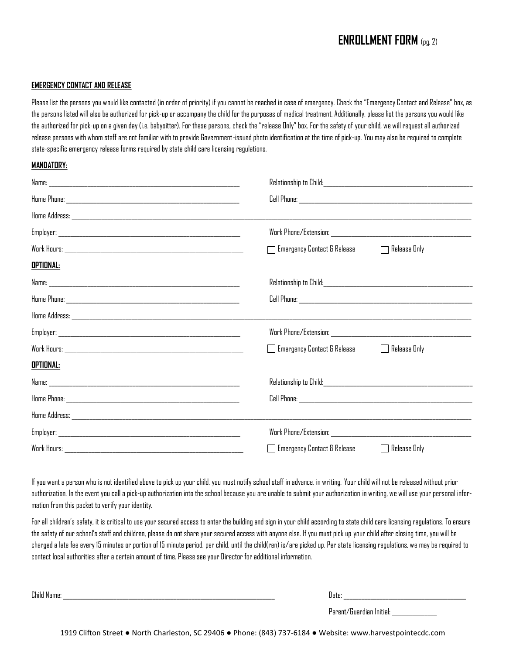## **ENROLLMENT FORM** (pg. 2)

#### **EMERGENCY CONTACT AND RELEASE**

Please list the persons you would like contacted (in order of priority) if you cannot be reached in case of emergency. Check the "Emergency Contact and Release" box, as the persons listed will also be authorized for pick-up or accompany the child for the purposes of medical treatment. Additionally, please list the persons you would like the authorized for pick-up on a given day (i.e. babysitter). For these persons, check the "release Only" box. For the safety of your child, we will request all authorized release persons with whom staff are not familiar with to provide Government-issued photo identification at the time of pick-up. You may also be required to complete state-specific emergency release forms required by state child care licensing regulations.

#### **MANDATORY:**

|                  | $\Box$ Emergency Contact & Release<br>$\Box$ Release Only |
|------------------|-----------------------------------------------------------|
| <u>optional:</u> |                                                           |
|                  |                                                           |
|                  |                                                           |
|                  |                                                           |
|                  |                                                           |
|                  | $\Box$ Emergency Contact & Release<br>$\Box$ Release Only |
| <u>optional:</u> |                                                           |
|                  |                                                           |
|                  |                                                           |
|                  |                                                           |
|                  |                                                           |
| Work Hours:      | $\Box$ Emergency Contact & Release<br>$\Box$ Release Only |

If you want a person who is not identified above to pick up your child, you must notify school staff in advance, in writing. Your child will not be released without prior authorization. In the event you call a pick-up authorization into the school because you are unable to submit your authorization in writing, we will use your personal information from this packet to verify your identity.

For all children's safety, it is critical to use your secured access to enter the building and sign in your child according to state child care licensing regulations. To ensure the safety of our school's staff and children, please do not share your secured access with anyone else. If you must pick up your child after closing time, you will be charged a late fee every 15 minutes or portion of 15 minute period, per child, until the child(ren) is/are picked up. Per state licensing regulations, we may be required to contact local authorities after a certain amount of time. Please see your Director for additional information.

Child Name: \_\_\_\_\_\_\_\_\_\_\_\_\_\_\_\_\_\_\_\_\_\_\_\_\_\_\_\_\_\_\_\_\_\_\_\_\_\_\_\_\_\_\_\_\_\_\_\_\_\_\_\_\_\_\_\_\_\_\_\_\_\_\_\_\_\_\_\_\_\_\_ Date: \_\_\_\_\_\_\_\_\_\_\_\_\_\_\_\_\_\_\_\_\_\_\_\_\_\_\_\_\_\_\_\_\_\_\_\_\_\_\_\_\_

Parent/Guardian Initial: \_\_\_\_\_\_\_\_\_\_\_\_\_\_\_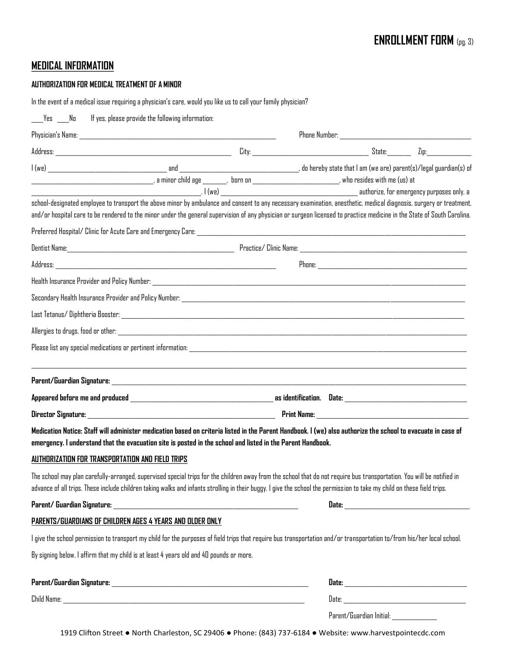### **MEDICAL INFORMATION**

#### **AUTHORIZATION FOR MEDICAL TREATMENT OF A MINOR**

|                                                  | In the event of a medical issue requiring a physician's care, would you like us to call your family physician?                                                                                                                                                                                                                                    |  |                          |  |
|--------------------------------------------------|---------------------------------------------------------------------------------------------------------------------------------------------------------------------------------------------------------------------------------------------------------------------------------------------------------------------------------------------------|--|--------------------------|--|
| Yes No                                           | If yes, please provide the following information:                                                                                                                                                                                                                                                                                                 |  |                          |  |
|                                                  |                                                                                                                                                                                                                                                                                                                                                   |  |                          |  |
|                                                  |                                                                                                                                                                                                                                                                                                                                                   |  |                          |  |
|                                                  |                                                                                                                                                                                                                                                                                                                                                   |  |                          |  |
|                                                  | school-designated employee to transport the above minor by ambulance and consent to any necessary examination, anesthetic, medical diagnosis, surgery or treatment,<br>and/or hospital care to be rendered to the minor under the general supervision of any physician or surgeon licensed to practice medicine in the State of South Carolina.   |  |                          |  |
|                                                  |                                                                                                                                                                                                                                                                                                                                                   |  |                          |  |
|                                                  |                                                                                                                                                                                                                                                                                                                                                   |  |                          |  |
|                                                  |                                                                                                                                                                                                                                                                                                                                                   |  |                          |  |
|                                                  |                                                                                                                                                                                                                                                                                                                                                   |  |                          |  |
|                                                  |                                                                                                                                                                                                                                                                                                                                                   |  |                          |  |
|                                                  |                                                                                                                                                                                                                                                                                                                                                   |  |                          |  |
|                                                  |                                                                                                                                                                                                                                                                                                                                                   |  |                          |  |
|                                                  |                                                                                                                                                                                                                                                                                                                                                   |  |                          |  |
|                                                  |                                                                                                                                                                                                                                                                                                                                                   |  |                          |  |
|                                                  |                                                                                                                                                                                                                                                                                                                                                   |  |                          |  |
|                                                  |                                                                                                                                                                                                                                                                                                                                                   |  |                          |  |
|                                                  | Medication Notice: Staff will administer medication based on criteria listed in the Parent Handbook. I (we) also authorize the school to evacuate in case of<br>emergency. I understand that the evacuation site is posted in the school and listed in the Parent Handbook.                                                                       |  |                          |  |
| AUTHORIZATION FOR TRANSPORTATION AND FIELD TRIPS |                                                                                                                                                                                                                                                                                                                                                   |  |                          |  |
|                                                  | The school may plan carefully-arranged, supervised special trips for the children away from the school that do not require bus transportation. You will be notified in<br>advance of all trips. These include children taking walks and infants strolling in their buggy. I give the school the permission to take my child on these field trips. |  |                          |  |
|                                                  |                                                                                                                                                                                                                                                                                                                                                   |  |                          |  |
|                                                  | PARENTS/GUARDIANS OF CHILDREN AGES 4 YEARS AND OLDER ONLY                                                                                                                                                                                                                                                                                         |  |                          |  |
|                                                  | l give the school permission to transport my child for the purposes of field trips that require bus transportation and/or transportation to/from his/her local school.                                                                                                                                                                            |  |                          |  |
|                                                  | By signing below, I affirm that my child is at least 4 years old and 40 pounds or more.                                                                                                                                                                                                                                                           |  |                          |  |
|                                                  |                                                                                                                                                                                                                                                                                                                                                   |  |                          |  |
|                                                  |                                                                                                                                                                                                                                                                                                                                                   |  |                          |  |
|                                                  |                                                                                                                                                                                                                                                                                                                                                   |  | Parent/Guardian Initial: |  |

1919 Clifton Street ● North Charleston, SC 29406 ● Phone: (843) 737-6184 ● Website: www.harvestpointecdc.com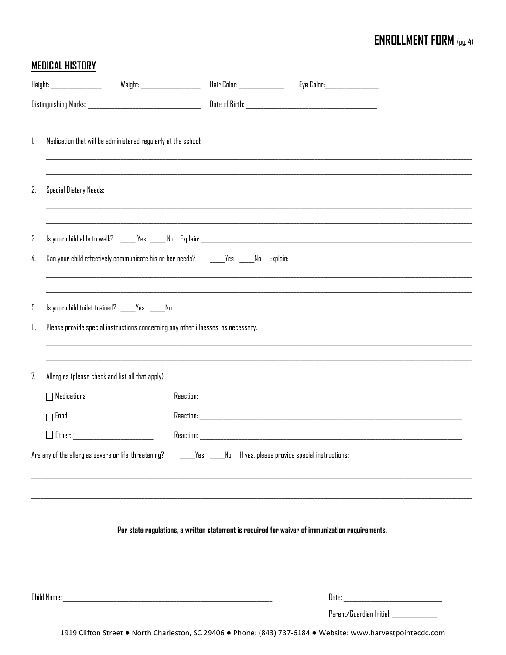# **ENROLLMENT FORM** (pg. 4)

# **MEDICAL HISTORY**

|          | Height: _________________                                                                                                         | Weight: _____________________ |                                                                                                              |                                        |
|----------|-----------------------------------------------------------------------------------------------------------------------------------|-------------------------------|--------------------------------------------------------------------------------------------------------------|----------------------------------------|
|          |                                                                                                                                   |                               |                                                                                                              |                                        |
| 1.       | Medication that will be administered regularly at the school:                                                                     |                               |                                                                                                              |                                        |
| 2.       | Special Dietary Needs:                                                                                                            |                               |                                                                                                              |                                        |
| 3.       |                                                                                                                                   |                               |                                                                                                              |                                        |
| 4.       | Can your child effectively communicate his or her needs? ______Yes _____No Explain:                                               |                               |                                                                                                              |                                        |
| 5.<br>6. | Is your child toilet trained? ____Yes ____No<br>Please provide special instructions concerning any other illnesses, as necessary: |                               |                                                                                                              |                                        |
| 7.       | Allergies (please check and list all that apply)                                                                                  |                               |                                                                                                              |                                        |
|          | $\Box$ Medications                                                                                                                |                               |                                                                                                              |                                        |
|          | $\Box$ Food                                                                                                                       |                               |                                                                                                              |                                        |
|          |                                                                                                                                   |                               |                                                                                                              |                                        |
|          | Are any of the allergies severe or life-threatening? _______Yes _____No If yes, please provide special instructions:              |                               |                                                                                                              |                                        |
|          |                                                                                                                                   |                               | Per state regulations, a written statement is required for waiver of immunization requirements.              |                                        |
|          |                                                                                                                                   |                               |                                                                                                              |                                        |
|          | Child Name: The Child Name of the Child Child Child Child Child Child Child Child Child Child Child Child Child                   |                               |                                                                                                              |                                        |
|          |                                                                                                                                   |                               |                                                                                                              | Parent/Guardian Initial: _____________ |
|          |                                                                                                                                   |                               | 1919 Clifton Street . North Charleston, SC 29406 . Phone: (843) 737-6184 . Website: www.harvestpointecdc.com |                                        |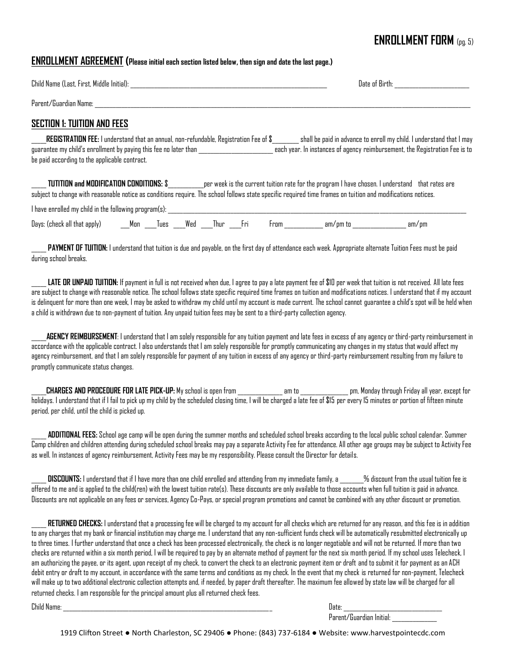### **ENROLLMENT FORM** (pg. 5)

### **ENROLLMENT AGREEMENT (Please initial each section listed below, then sign and date the last page.)**

| Child Name (Last, First, Middle Initial):                                                                                                                                                                         | Date of Birth:                                                                                                                                      |
|-------------------------------------------------------------------------------------------------------------------------------------------------------------------------------------------------------------------|-----------------------------------------------------------------------------------------------------------------------------------------------------|
| Parent/Guardian Name:                                                                                                                                                                                             |                                                                                                                                                     |
| SECTION 1: TUITION AND FEES                                                                                                                                                                                       |                                                                                                                                                     |
| <b>REGISTRATION FEE:</b> I understand that an annual, non-refundable, Registration Fee of \$<br>guarantee my child's enrollment by paying this fee no later than<br>be paid according to the applicable contract. | shall be paid in advance to enroll my child. I understand that I may<br>each year. In instances of agency reimbursement, the Registration Fee is to |

**TUTITION and MODIFICATION CONDITIONS:** \$ per week is the current tuition rate for the program I have chosen. I understand that rates are subject to change with reasonable notice as conditions require. The school follows state specific required time frames on tuition and modifications notices.

I have enrolled my child in the following program(s):

| "<br>all t'<br>Davs:<br>anniv<br>r.ner.<br>tnat | M O r | <b>TIPS</b> | <b>Weo</b> | .hur | ו הי | ron. | am,<br>,,,, | ---<br>91 I I.<br>ייש |
|-------------------------------------------------|-------|-------------|------------|------|------|------|-------------|-----------------------|
|                                                 |       |             |            |      |      |      |             |                       |

PAYMENT OF TUITION: I understand that tuition is due and payable, on the first day of attendance each week. Appropriate alternate Tuition Fees must be paid during school breaks.

LATE OR UNPAID TUITION: If payment in full is not received when due, I agree to pay a late payment fee of \$10 per week that tuition is not received. All late fees are subject to change with reasonable notice. The school follows state specific required time frames on tuition and modifications notices. I understand that if my account is delinquent for more than one week, I may be asked to withdraw my child until my account is made current. The school cannot guarantee a child's spot will be held when a child is withdrawn due to non-payment of tuition. Any unpaid tuition fees may be sent to a third-party collection agency.

AGENCY REIMBURSEMENT: I understand that I am solely responsible for any tuition payment and late fees in excess of any agency or third-party reimbursement in accordance with the applicable contract. I also understands that I am solely responsible for promptly communicating any changes in my status that would affect my agency reimbursement, and that I am solely responsible for payment of any tuition in excess of any agency or third-party reimbursement resulting from my failure to promptly communicate status changes.

\_\_\_\_\_**CHARGES AND PROCEDURE FOR LATE PICK-UP:** My school is open from \_\_\_\_\_\_\_\_\_\_\_\_\_\_\_ am to \_\_\_\_\_\_\_\_\_\_\_\_\_\_\_\_ pm, Monday through Friday all year, except for holidays. I understand that if I fail to pick up my child by the scheduled closing time, I will be charged a late fee of \$15 per every 15 minutes or portion of fifteen minute period, per child, until the child is picked up.

\_\_\_\_\_ **ADDITIONAL FEES:** School age camp will be open during the summer months and scheduled school breaks according to the local public school calendar. Summer Camp children and children attending during scheduled school breaks may pay a separate Activity Fee for attendance. All other age groups may be subject to Activity Fee as well. In instances of agency reimbursement, Activity Fees may be my responsibility. Please consult the Director for details.

DISCOUNTS: I understand that if I have more than one child enrolled and attending from my immediate family, a  $\,$  % discount from the usual tuition fee is offered to me and is applied to the child(ren) with the lowest tuition rate(s). These discounts are only available to those accounts when full tuition is paid in advance. Discounts are not applicable on any fees or services, Agency Co-Pays, or special program promotions and cannot be combined with any other discount or promotion.

RETURNED CHECKS: I understand that a processing fee will be charged to my account for all checks which are returned for any reason, and this fee is in addition to any charges that my bank or financial institution may charge me. I understand that any non-sufficient funds check will be automatically resubmitted electronically up to three times. I further understand that once a check has been processed electronically, the check is no longer negotiable and will not be returned. If more than two checks are returned within a six month period, I will be required to pay by an alternate method of payment for the next six month period. If my school uses Telecheck, I am authorizing the payee, or its agent, upon receipt of my check, to convert the check to an electronic payment item or draft and to submit it for payment as an ACH debit entry or draft to my account, in accordance with the same terms and conditions as my check. In the event that my check is returned for non-payment, Telecheck will make up to two additional electronic collection attempts and, if needed, by paper draft thereafter. The maximum fee allowed by state law will be charged for all returned checks. I am responsible for the principal amount plus all returned check fees.

Child Name: \_\_\_\_\_\_\_\_\_\_\_\_\_\_\_\_\_\_\_\_\_\_\_\_\_\_\_\_\_\_\_\_\_\_\_\_\_\_\_\_\_\_\_\_\_\_\_\_\_\_\_\_\_\_\_\_\_\_\_\_\_\_\_\_\_\_\_\_\_\_ Date: \_\_\_\_\_\_\_\_\_\_\_\_\_\_\_\_\_\_\_\_\_\_\_\_\_\_\_\_\_\_\_\_\_

Parent/Guardian Initial: \_\_\_\_\_\_\_\_\_\_\_\_\_\_\_

1919 Clifton Street ● North Charleston, SC 29406 ● Phone: (843) 737-6184 ● Website: www.harvestpointecdc.com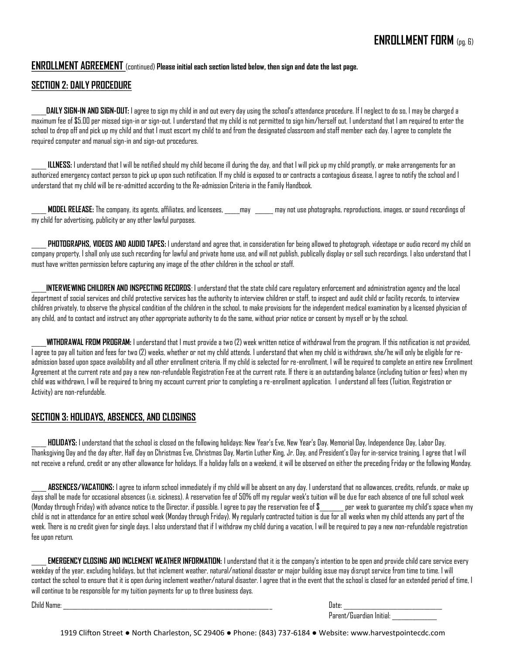### **ENROLLMENT AGREEMENT** (continued) **Please initial each section listed below, then sign and date the last page.**

### **SECTION 2: DAILY PROCEDURE**

\_\_\_\_\_**DAILY SIGN-IN AND SIGN-OUT:** I agree to sign my child in and out every day using the school's attendance procedure. If I neglect to do so, I may be charged a maximum fee of \$5.00 per missed sign-in or sign-out. I understand that my child is not permitted to sign him/herself out. I understand that I am required to enter the school to drop off and pick up my child and that I must escort my child to and from the designated classroom and staff member each day. I agree to complete the required computer and manual sign-in and sign-out procedures.

ILLNESS: I understand that I will be notified should my child become ill during the day, and that I will pick up my child promptly, or make arrangements for an authorized emergency contact person to pick up upon such notification. If my child is exposed to or contracts a contagious disease, I agree to notify the school and I understand that my child will be re-admitted according to the Re-admission Criteria in the Family Handbook.

\_\_\_\_\_ **MODEL RELEASE:** The company, its agents, affiliates, and licensees, \_\_\_\_\_may \_\_\_\_\_\_ may not use photographs, reproductions, images, or sound recordings of my child for advertising, publicity or any other lawful purposes.

PHOTOGRAPHS, VIDEOS AND AUDIO TAPES: I understand and agree that, in consideration for being allowed to photograph, videotape or audio record my child on company property, I shall only use such recording for lawful and private home use, and will not publish, publically display or sell such recordings. I also understand that I must have written permission before capturing any image of the other children in the school or staff.

**INTERVIEWING CHILDREN AND INSPECTING RECORDS**: I understand that the state child care regulatory enforcement and administration agency and the local department of social services and child protective services has the authority to interview children or staff, to inspect and audit child or facility records, to interview children privately, to observe the physical condition of the children in the school, to make provisions for the independent medical examination by a licensed physician of any child, and to contact and instruct any other appropriate authority to do the same, without prior notice or consent by myself or by the school.

\_\_\_\_\_**WITHDRAWAL FROM PROGRAM:** I understand that I must provide a two (2) week written notice of withdrawal from the program. If this notification is not provided, I agree to pay all tuition and fees for two (2) weeks, whether or not my child attends. I understand that when my child is withdrawn, she/he will only be eligible for readmission based upon space availability and all other enrollment criteria. If my child is selected for re-enrollment, I will be required to complete an entire new Enrollment Agreement at the current rate and pay a new non-refundable Registration Fee at the current rate. If there is an outstanding balance (including tuition or fees) when my child was withdrawn, I will be required to bring my account current prior to completing a re-enrollment application. I understand all fees (Tuition, Registration or Activity) are non-refundable.

#### **SECTION 3: HOLIDAYS, ABSENCES, AND CLOSINGS**

\_\_\_\_\_ **HOLIDAYS:** I understand that the school is closed on the following holidays: New Year's Eve, New Year's Day. Memorial Day, Independence Day, Labor Day, Thanksgiving Day and the day after, Half day on Christmas Eve, Christmas Day, Martin Luther King, Jr. Day, and President's Day for in-service training. I agree that I will not receive a refund, credit or any other allowance for holidays. If a holiday falls on a weekend, it will be observed on either the preceding Friday or the following Monday.

\_\_\_\_\_ **ABSENCES/VACATIONS:** I agree to inform school immediately if my child will be absent on any day. I understand that no allowances, credits, refunds, or make up days shall be made for occasional absences (i.e. sickness). A reservation fee of 50% off my regular week's tuition will be due for each absence of one full school week (Monday through Friday) with advance notice to the Director, if possible. I agree to pay the reservation fee of \$\_\_\_\_\_\_\_\_ per week to guarantee my child's space when my child is not in attendance for an entire school week (Monday through Friday). My regularly contracted tuition is due for all weeks when my child attends any part of the week. There is no credit given for single days. I also understand that if I withdraw my child during a vacation, I will be required to pay a new non-refundable registration fee upon return.

**EMERGENCY CLOSING AND INCLEMENT WEATHER INFORMATION:** I understand that it is the company's intention to be open and provide child care service every weekday of the year, excluding holidays, but that inclement weather, natural/national disaster or major building issue may disrupt service from time to time. I will contact the school to ensure that it is open during inclement weather/natural disaster. I agree that in the event that the school is closed for an extended period of time, I will continue to be responsible for my tuition payments for up to three business days.

Child Name: \_\_\_\_\_\_\_\_\_\_\_\_\_\_\_\_\_\_\_\_\_\_\_\_\_\_\_\_\_\_\_\_\_\_\_\_\_\_\_\_\_\_\_\_\_\_\_\_\_\_\_\_\_\_\_\_\_\_\_\_\_\_\_\_\_\_\_\_\_\_ Date: \_\_\_\_\_\_\_\_\_\_\_\_\_\_\_\_\_\_\_\_\_\_\_\_\_\_\_\_\_\_\_\_\_ Parent/Guardian Initial: \_\_\_\_\_\_\_\_\_\_\_\_\_\_\_